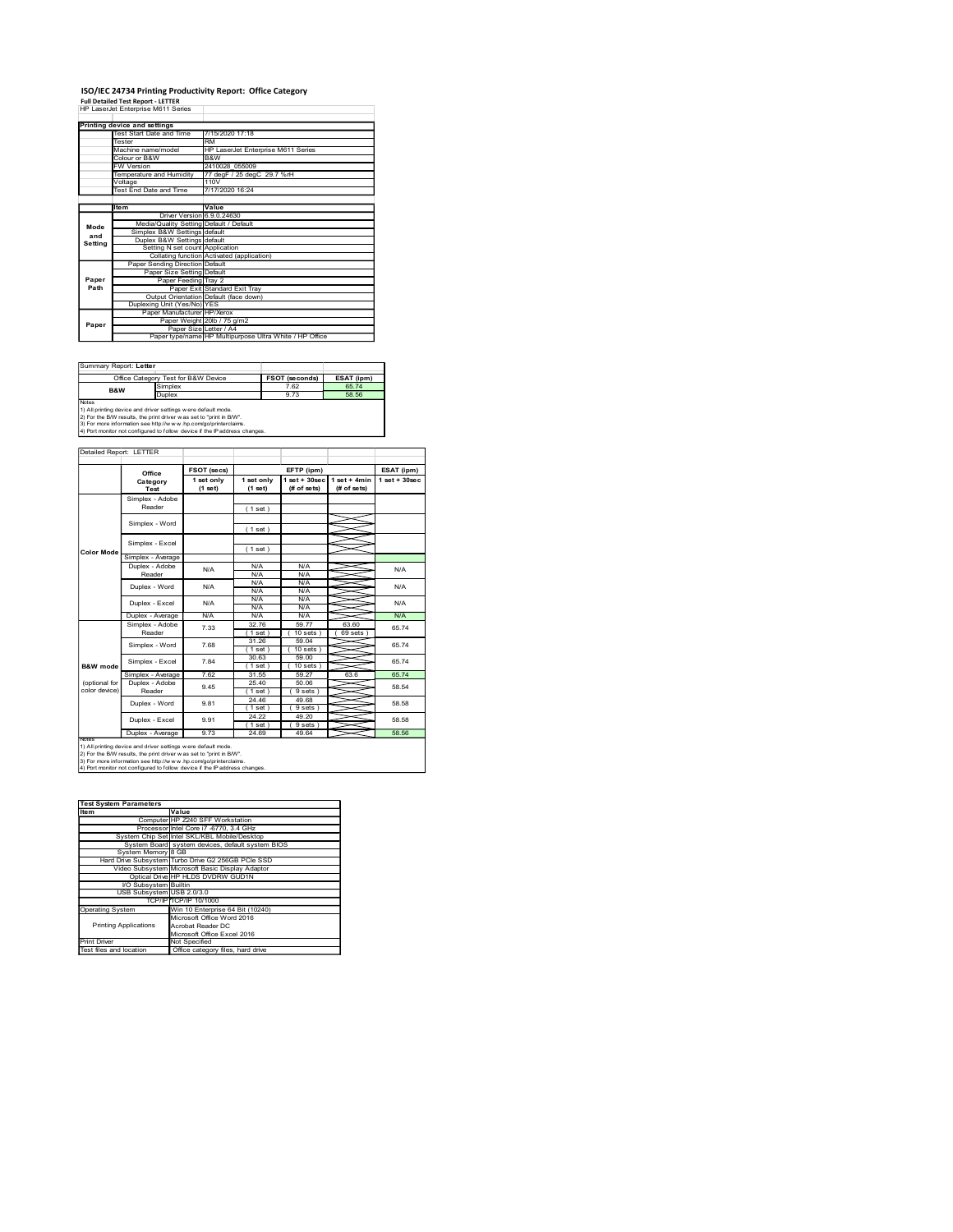### ISO/IEC 24734 Printing Productivity Report: Office Category Full Detailed Test Report - LETTER

|                        | ISO/IEC 24734 Printing Productivity Report: Office Category<br><b>Full Detailed Test Report - LETTER</b>                               |                                                                                   |                                    |                                                 |                |
|------------------------|----------------------------------------------------------------------------------------------------------------------------------------|-----------------------------------------------------------------------------------|------------------------------------|-------------------------------------------------|----------------|
|                        | HP LaserJet Enterprise M611 Series                                                                                                     |                                                                                   |                                    |                                                 |                |
|                        | Printing device and settings<br>Test Start Date and Time                                                                               | 7/15/2020 17:18                                                                   |                                    |                                                 |                |
|                        | Tester<br>Machine name/model                                                                                                           | <b>RM</b>                                                                         | HP LaserJet Enterprise M611 Series |                                                 |                |
|                        | Colour or B&W<br>FW Version                                                                                                            | B&W<br>2410028_055009                                                             |                                    |                                                 |                |
|                        | Temperature and Humidity<br>/oltage                                                                                                    | 110V                                                                              | 77 degF / 25 degC 29.7 %rH         |                                                 |                |
|                        | Test End Date and Time                                                                                                                 | 7/17/2020 16:24                                                                   |                                    |                                                 |                |
|                        | ltem                                                                                                                                   | Value<br>Driver Version 6.9.0.24630                                               |                                    |                                                 |                |
| Mode<br>and            | Media/Quality Setting Default / Default<br>Simplex B&W Settings default                                                                |                                                                                   |                                    |                                                 |                |
| Setting                | Duplex B&W Settings default                                                                                                            | Setting N set count Application<br>Collating function Activated (application)     |                                    |                                                 |                |
|                        | Paper Sending Direction Default                                                                                                        | Paper Size Setting Default                                                        |                                    |                                                 |                |
| Paper<br>Path          |                                                                                                                                        | Paper Feeding Tray 2<br>Paper Exit Standard Exit Tray                             |                                    |                                                 |                |
|                        | Duplexing Unit (Yes/No) YES                                                                                                            | Output Orientation Default (face down)                                            |                                    |                                                 |                |
| Paper                  |                                                                                                                                        | Paper Manufacturer HP/Xerox<br>Paper Weight 20lb / 75 g/m2                        |                                    |                                                 |                |
|                        |                                                                                                                                        | Paper Size Letter / A4<br>Paper type/name HP Multipurpose Ultra White / HP Office |                                    |                                                 |                |
|                        |                                                                                                                                        |                                                                                   |                                    |                                                 |                |
|                        |                                                                                                                                        |                                                                                   |                                    | FSOT (seconds)                                  | ESAT (ipm)     |
| Summary Report: Letter |                                                                                                                                        |                                                                                   |                                    | 7.62                                            | 65.74<br>58.56 |
|                        | Office Category Test for B&W Device<br>Simplex<br>B&W                                                                                  |                                                                                   |                                    |                                                 |                |
| Notes                  | Duplex<br>1) All printing device and driver settings were default mode.                                                                |                                                                                   |                                    | 9.73                                            |                |
|                        | 2) For the B/W results, the print driver was set to "print in B/W".<br>3) For more information see http://www.hp.com/go/printerclaims. |                                                                                   |                                    |                                                 |                |
|                        | 4) Port monitor not configured to follow device if the IP address changes.                                                             |                                                                                   |                                    |                                                 |                |
|                        | Detailed Report: LETTER                                                                                                                |                                                                                   |                                    |                                                 |                |
|                        | Office                                                                                                                                 | FSOT (secs)                                                                       |                                    | EFTP (ipm)                                      |                |
|                        | Category<br><b>Test</b>                                                                                                                | 1 set only<br>$(1$ set)                                                           | 1 set only<br>(1 set)              | $1 set + 30 sec$ $1 set + 4 min$<br>(# of sets) | (# of sets)    |
|                        | Simplex - Adobe<br>Reader                                                                                                              |                                                                                   | (1 set)                            |                                                 |                |
|                        | Simplex - Word                                                                                                                         |                                                                                   |                                    |                                                 |                |
|                        | Simplex - Excel                                                                                                                        |                                                                                   | (1 set)                            |                                                 |                |
| Color Mode             | Simplex - Average<br>Duplex - Adobe                                                                                                    |                                                                                   | (1 set)<br>N/A                     | N/A                                             |                |

| Summary Report: Letter |                                                                                                                                                                                                                                                                                          |                       |            |
|------------------------|------------------------------------------------------------------------------------------------------------------------------------------------------------------------------------------------------------------------------------------------------------------------------------------|-----------------------|------------|
|                        | Office Category Test for B&W Device                                                                                                                                                                                                                                                      | <b>FSOT (seconds)</b> | ESAT (ipm) |
| <b>B&amp;W</b>         | Simplex                                                                                                                                                                                                                                                                                  | 7.62                  | 65.74      |
|                        | <b>Duplex</b>                                                                                                                                                                                                                                                                            | 9.73                  | 58.56      |
| <b>Notes</b>           | 1) All printing device and driver settings were default mode.<br>2) For the B/W results, the print driver was set to "print in B/W".<br>3) For more information see http://w w w .hp.com/go/printerclaims.<br>4) Port monitor not configured to follow device if the IP address changes. |                       |            |

|                         | B&W<br>Colour or B&W<br>FW Version<br>2410028_055009                                                                                                                                                                                                                                  |                                                         |                            |                                  |                                |                 |  |  |
|-------------------------|---------------------------------------------------------------------------------------------------------------------------------------------------------------------------------------------------------------------------------------------------------------------------------------|---------------------------------------------------------|----------------------------|----------------------------------|--------------------------------|-----------------|--|--|
|                         | Temperature and Humidity                                                                                                                                                                                                                                                              |                                                         | 77 degF / 25 degC 29.7 %rH |                                  |                                |                 |  |  |
|                         | /oltage<br>Test End Date and Time                                                                                                                                                                                                                                                     | 110V<br>7/17/2020 16:24                                 |                            |                                  |                                |                 |  |  |
|                         |                                                                                                                                                                                                                                                                                       |                                                         |                            |                                  |                                |                 |  |  |
|                         | ltem                                                                                                                                                                                                                                                                                  | Value                                                   |                            |                                  |                                |                 |  |  |
|                         | <b>Driver Version</b>                                                                                                                                                                                                                                                                 | 6.9.0.24630<br>Media/Quality Setting Default / Default  |                            |                                  |                                |                 |  |  |
| Mode<br>and<br>Setting  | Simplex B&W Settings default                                                                                                                                                                                                                                                          |                                                         |                            |                                  |                                |                 |  |  |
|                         | Duplex B&W Settings default                                                                                                                                                                                                                                                           | Setting N set count Application                         |                            |                                  |                                |                 |  |  |
|                         |                                                                                                                                                                                                                                                                                       | Collating function Activated (application)              |                            |                                  |                                |                 |  |  |
| Paper<br>Path           | Paper Sending Direction Default<br>Paper Size Setting Default<br>Paper Feeding Tray 2                                                                                                                                                                                                 |                                                         |                            |                                  |                                |                 |  |  |
|                         |                                                                                                                                                                                                                                                                                       |                                                         |                            |                                  |                                |                 |  |  |
|                         |                                                                                                                                                                                                                                                                                       | Paper Exit Standard Exit Tray                           |                            |                                  |                                |                 |  |  |
|                         | Duplexing Unit (Yes/No) YES                                                                                                                                                                                                                                                           | Output Orientation Default (face down)                  |                            |                                  |                                |                 |  |  |
|                         | Paper Manufacturer                                                                                                                                                                                                                                                                    | HP/Xerox                                                |                            |                                  |                                |                 |  |  |
| Paper                   |                                                                                                                                                                                                                                                                                       | Paper Weight 20lb / 75 g/m2<br>Paper Size Letter / A4   |                            |                                  |                                |                 |  |  |
|                         |                                                                                                                                                                                                                                                                                       | Paper type/name HP Multipurpose Ultra White / HP Office |                            |                                  |                                |                 |  |  |
|                         |                                                                                                                                                                                                                                                                                       |                                                         |                            |                                  |                                |                 |  |  |
|                         |                                                                                                                                                                                                                                                                                       |                                                         |                            |                                  |                                |                 |  |  |
|                         | Summary Report: Letter                                                                                                                                                                                                                                                                |                                                         |                            |                                  |                                |                 |  |  |
|                         | Office Category Test for B&W Device<br>Simplex                                                                                                                                                                                                                                        |                                                         |                            | <b>FSOT (seconds)</b><br>7.62    | ESAT (ipm)<br>65.74            |                 |  |  |
|                         | B&W<br>Duplex                                                                                                                                                                                                                                                                         |                                                         |                            | 9.73                             | 58.56                          |                 |  |  |
| Notes                   | 1) All printing device and driver settings were default mode.<br>2) For the B/W results, the print driver was set to "print in B/W".<br>3) For more information see http://www.hp.com/go/printerclaims.<br>4) Port monitor not configured to follow device if the IP address changes. |                                                         |                            |                                  |                                |                 |  |  |
|                         | Detailed Report: LETTER                                                                                                                                                                                                                                                               |                                                         |                            |                                  |                                |                 |  |  |
|                         |                                                                                                                                                                                                                                                                                       |                                                         |                            |                                  |                                |                 |  |  |
|                         | Office                                                                                                                                                                                                                                                                                | FSOT (secs)                                             |                            | EFTP (ipm)                       |                                | ESAT (ipm)      |  |  |
|                         | Category<br>Test                                                                                                                                                                                                                                                                      | 1 set only<br>$(1$ set)                                 | 1 set only<br>(1 set)      | $1 set + 30 sec$<br>$#$ of sets) | $1 set + 4 min$<br>(# of sets) | $1$ set + 30sec |  |  |
|                         | Simplex - Adobe                                                                                                                                                                                                                                                                       |                                                         |                            |                                  |                                |                 |  |  |
|                         | Reader                                                                                                                                                                                                                                                                                |                                                         | (1 set)                    |                                  |                                |                 |  |  |
|                         | Simplex - Word                                                                                                                                                                                                                                                                        |                                                         |                            |                                  |                                |                 |  |  |
|                         |                                                                                                                                                                                                                                                                                       |                                                         | (1 set)                    |                                  |                                |                 |  |  |
|                         | Simplex - Excel                                                                                                                                                                                                                                                                       |                                                         | (1 set)                    |                                  |                                |                 |  |  |
| Color Mode              | Simplex - Average                                                                                                                                                                                                                                                                     |                                                         |                            |                                  |                                |                 |  |  |
|                         | Duplex - Adobe                                                                                                                                                                                                                                                                        | N/A                                                     | N/A                        | N/A                              |                                |                 |  |  |
|                         | Reader                                                                                                                                                                                                                                                                                |                                                         | N/A<br>N/A                 | N/A<br>N/A                       |                                |                 |  |  |
|                         | Duplex - Word                                                                                                                                                                                                                                                                         | N/A                                                     | N/A                        | N/A                              |                                |                 |  |  |
|                         | Duplex - Excel                                                                                                                                                                                                                                                                        | N/A                                                     | N/A                        | N/A                              |                                |                 |  |  |
|                         | Duplex - Average                                                                                                                                                                                                                                                                      | N/A                                                     | <b>N/A</b><br>N/A          | <b>N/A</b><br>N/A                |                                |                 |  |  |
|                         | Simplex - Adobe                                                                                                                                                                                                                                                                       | 7.33                                                    | 32.76                      | 59.77                            | 63.60                          |                 |  |  |
|                         | Reader                                                                                                                                                                                                                                                                                |                                                         | (1 set)                    | (10 sets)                        | (69 sets)                      |                 |  |  |
|                         | Simplex - Word                                                                                                                                                                                                                                                                        | 7.68                                                    | 31.26<br>(1 set)           | 59.04<br>10 sets                 |                                |                 |  |  |
|                         | Simplex - Excel                                                                                                                                                                                                                                                                       | 7.84                                                    | 30.63                      | 59.00                            |                                |                 |  |  |
| <b>B&amp;W</b> mode     |                                                                                                                                                                                                                                                                                       | 7.62                                                    | (1 set)<br>31.55           | 10 sets)                         | 63.6                           |                 |  |  |
| (optional for           | Simplex - Average<br>Duplex - Adobe                                                                                                                                                                                                                                                   |                                                         | 25.40                      | 59.27<br>50.06                   |                                |                 |  |  |
| color device)           | Reader                                                                                                                                                                                                                                                                                | 9.45                                                    | (1 set)                    | 9 sets                           |                                |                 |  |  |
|                         | Duplex - Word                                                                                                                                                                                                                                                                         | 9.81                                                    | 24.46<br>(1 set)           | 49.68<br>9 sets)                 |                                |                 |  |  |
|                         | Duplex - Excel                                                                                                                                                                                                                                                                        | 9.91                                                    | 24.22                      | 49.20                            |                                |                 |  |  |
|                         |                                                                                                                                                                                                                                                                                       |                                                         | (1 set)                    | (9 sets)                         |                                |                 |  |  |
| Notes                   | Duplex - Average                                                                                                                                                                                                                                                                      | 9.73                                                    | 24.69                      | 49.64                            |                                |                 |  |  |
|                         | 1) All printing device and driver settings were default mode.<br>2) For the B/W results, the print driver was set to "print in B/W".                                                                                                                                                  |                                                         |                            |                                  |                                |                 |  |  |
|                         | 3) For more information see http://www.hp.com/go/printerclaims.                                                                                                                                                                                                                       |                                                         |                            |                                  |                                |                 |  |  |
|                         | 4) Port monitor not configured to follow device if the IP address changes.                                                                                                                                                                                                            |                                                         |                            |                                  |                                |                 |  |  |
|                         |                                                                                                                                                                                                                                                                                       |                                                         |                            |                                  |                                |                 |  |  |
|                         |                                                                                                                                                                                                                                                                                       |                                                         |                            |                                  |                                |                 |  |  |
| Item                    | <b>Test System Parameters</b><br>Value                                                                                                                                                                                                                                                |                                                         |                            |                                  |                                |                 |  |  |
|                         |                                                                                                                                                                                                                                                                                       | Computer HP Z240 SFF Workstation                        |                            |                                  |                                |                 |  |  |
|                         |                                                                                                                                                                                                                                                                                       | Processor Intel Core i7 -6770, 3.4 GHz                  |                            |                                  |                                |                 |  |  |
|                         | System Chip Set Intel SKL/KBL Mobile/Desktop<br>System Board system devices, default system BIOS                                                                                                                                                                                      |                                                         |                            |                                  |                                |                 |  |  |
|                         | System Memory 8 GB                                                                                                                                                                                                                                                                    |                                                         |                            |                                  |                                |                 |  |  |
|                         | Hard Drive Subsystem Turbo Drive G2 256GB PCIe SSD<br>Video Subsystem Microsoft Basic Display Adaptor                                                                                                                                                                                 |                                                         |                            |                                  |                                |                 |  |  |
|                         | Optical Drive HP HLDS DVDRW GUD1N                                                                                                                                                                                                                                                     |                                                         |                            |                                  |                                |                 |  |  |
|                         | VO Subsystem Builtin                                                                                                                                                                                                                                                                  |                                                         |                            |                                  |                                |                 |  |  |
|                         | USB Subsystem USB 2.0/3.0                                                                                                                                                                                                                                                             | TCP/IP TCP/IP 10/1000                                   |                            |                                  |                                |                 |  |  |
| <b>Operating System</b> |                                                                                                                                                                                                                                                                                       | Win 10 Enterprise 64 Bit (10240)                        |                            |                                  |                                |                 |  |  |
|                         |                                                                                                                                                                                                                                                                                       | Microsoft Office Word 2016                              |                            |                                  |                                |                 |  |  |
|                         | <b>Printing Applications</b>                                                                                                                                                                                                                                                          | Acrobat Reader DC<br>Microsoft Office Excel 2016        |                            |                                  |                                |                 |  |  |
| <b>Print Driver</b>     |                                                                                                                                                                                                                                                                                       | Not Specified                                           |                            |                                  |                                |                 |  |  |
| Test files and location |                                                                                                                                                                                                                                                                                       | Office category files, hard drive                       |                            |                                  |                                |                 |  |  |
|                         |                                                                                                                                                                                                                                                                                       |                                                         |                            |                                  |                                |                 |  |  |
|                         |                                                                                                                                                                                                                                                                                       |                                                         |                            |                                  |                                |                 |  |  |
|                         |                                                                                                                                                                                                                                                                                       |                                                         |                            |                                  |                                |                 |  |  |
|                         |                                                                                                                                                                                                                                                                                       |                                                         |                            |                                  |                                |                 |  |  |
|                         |                                                                                                                                                                                                                                                                                       |                                                         |                            |                                  |                                |                 |  |  |
|                         |                                                                                                                                                                                                                                                                                       |                                                         |                            |                                  |                                |                 |  |  |
|                         |                                                                                                                                                                                                                                                                                       |                                                         |                            |                                  |                                |                 |  |  |
|                         |                                                                                                                                                                                                                                                                                       |                                                         |                            |                                  |                                |                 |  |  |

| Item                         | Value                                                |
|------------------------------|------------------------------------------------------|
|                              | Computer HP Z240 SFF Workstation                     |
|                              | Processor Intel Core i7 -6770, 3.4 GHz               |
|                              | System Chip Set Intel SKL/KBL Mobile/Desktop         |
|                              | System Board system devices, default system BIOS     |
| System Memory 8 GB           |                                                      |
|                              | Hard Drive Subsystem Turbo Drive G2 256GB PCIe SSD   |
|                              | Video Subsystem Microsoft Basic Display Adaptor      |
|                              | Optical Drive HP HLDS DVDRW GUD1N                    |
| VO Subsystem Builtin         |                                                      |
| USB Subsystem USB 2.0/3.0    |                                                      |
|                              | TCP/IPITCP/IP 10/1000                                |
| <b>Operating System</b>      | Win 10 Enterprise 64 Bit (10240)                     |
|                              | Microsoft Office Word 2016                           |
| <b>Printing Applications</b> | Acrobat Reader DC                                    |
|                              | Microsoft Office Excel 2016                          |
| <b>Print Driver</b>          | Not Specified                                        |
| $\overline{\phantom{a}}$     | $\overline{\phantom{a}}$<br>$\overline{\phantom{a}}$ |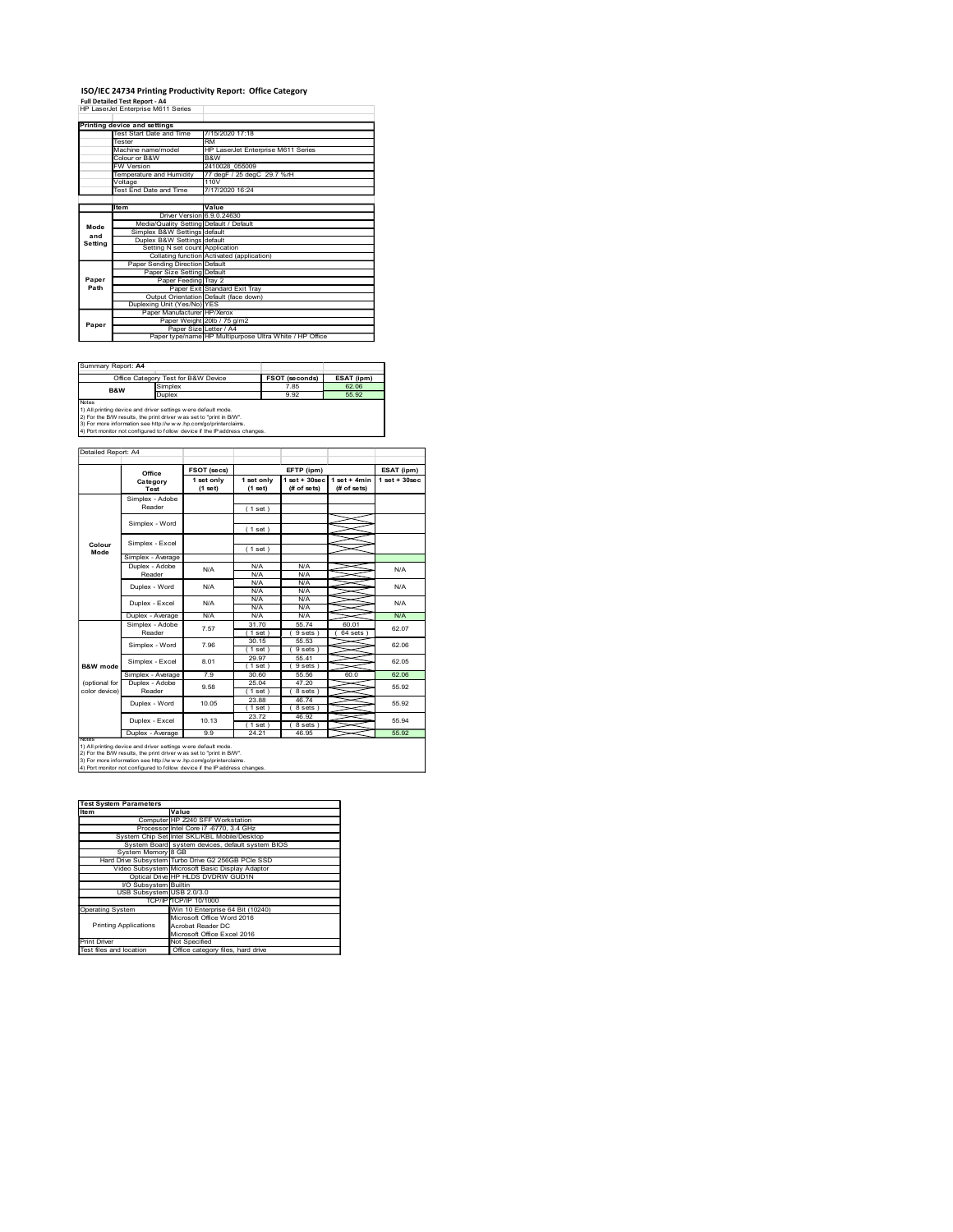## ISO/IEC 24734 Printing Productivity Report: Office Category Full Detailed Test Report - A4

|                     | ISO/IEC 24734 Printing Productivity Report: Office Category                                                                                   |                                                                                   |                                    |                       |                                  |                                |
|---------------------|-----------------------------------------------------------------------------------------------------------------------------------------------|-----------------------------------------------------------------------------------|------------------------------------|-----------------------|----------------------------------|--------------------------------|
|                     | <b>Full Detailed Test Report - A4</b><br>HP LaserJet Enterprise M611 Series                                                                   |                                                                                   |                                    |                       |                                  |                                |
|                     | <b>Printing device and settings</b>                                                                                                           | 7/15/2020 17:18                                                                   |                                    |                       |                                  |                                |
|                     | Test Start Date and Time<br>Tester<br>Machine name/model                                                                                      | <b>RM</b>                                                                         | HP LaserJet Enterprise M611 Series |                       |                                  |                                |
|                     | Colour or B&W<br>W Version                                                                                                                    | B&W<br>2410028_055009                                                             |                                    |                       |                                  |                                |
|                     | Temperature and Humidity<br>Voltage                                                                                                           | 110V                                                                              | 77 degF / 25 degC 29.7 %rH         |                       |                                  |                                |
|                     | Test End Date and Time                                                                                                                        | 7/17/2020 16:24                                                                   |                                    |                       |                                  |                                |
|                     | ltem                                                                                                                                          | Value<br>Driver Version 6.9.0.24630                                               |                                    |                       |                                  |                                |
| Mode<br>and         | Simplex B&W Settings default                                                                                                                  | Media/Quality Setting Default / Default                                           |                                    |                       |                                  |                                |
| Setting             | Duplex B&W Settings default                                                                                                                   | Setting N set count Application                                                   |                                    |                       |                                  |                                |
|                     | Paper Sending Direction Default                                                                                                               | Collating function Activated (application)<br>Paper Size Setting Default          |                                    |                       |                                  |                                |
| Paper<br>Path       |                                                                                                                                               | Paper Feeding Tray 2<br>Paper Exit Standard Exit Tray                             |                                    |                       |                                  |                                |
|                     | Duplexing Unit (Yes/No) YES                                                                                                                   | Output Orientation Default (face down)                                            |                                    |                       |                                  |                                |
| Paper               |                                                                                                                                               | Paper Manufacturer HP/Xerox<br>Paper Weight 20lb / 75 g/m2                        |                                    |                       |                                  |                                |
|                     |                                                                                                                                               | Paper Size Letter / A4<br>Paper type/name HP Multipurpose Ultra White / HP Office |                                    |                       |                                  |                                |
|                     |                                                                                                                                               |                                                                                   |                                    |                       |                                  |                                |
| Summary Report: A4  | Office Category Test for B&W Device                                                                                                           |                                                                                   |                                    | <b>FSOT (seconds)</b> | ESAT (ipm)                       |                                |
|                     | Simplex<br>B&W<br>Duplex                                                                                                                      |                                                                                   |                                    | 7.85<br>9.92          | 62.06<br>55.92                   |                                |
| Notes               | 1) All printing device and driver settings were default mode.<br>2) For the B/W results, the print driver was set to "print in B/W".          |                                                                                   |                                    |                       |                                  |                                |
|                     | 3) For more information see http://www.hp.com/go/printerclaims.<br>4) Port monitor not configured to follow device if the IP address changes. |                                                                                   |                                    |                       |                                  |                                |
| Detailed Report: A4 |                                                                                                                                               |                                                                                   |                                    |                       |                                  |                                |
|                     |                                                                                                                                               |                                                                                   |                                    |                       |                                  |                                |
|                     | Office<br>Category                                                                                                                            | FSOT (secs)<br>1 set only                                                         | 1 set only                         | EFTP (ipm)            | $1 set + 30 sec$ $1 set + 4 min$ | ESAT (ipm)<br>$1 set + 30 sec$ |
|                     | Test<br>Simplex - Adobe                                                                                                                       | $(1$ set)                                                                         | (1 set)                            | (# of sets)           | (# of sets)                      |                                |
|                     | Reader<br>Simplex - Word                                                                                                                      |                                                                                   | (1 set)                            |                       |                                  |                                |
|                     |                                                                                                                                               |                                                                                   | (1 set)                            |                       |                                  |                                |
|                     |                                                                                                                                               |                                                                                   | (1 set)                            |                       |                                  |                                |
| Colour<br>Mode      | Simplex - Excel<br>Simplex - Average                                                                                                          |                                                                                   |                                    |                       |                                  |                                |

| Summary Report: A4 |                                                                                                                                                                                                                                                                                          |                       |            |
|--------------------|------------------------------------------------------------------------------------------------------------------------------------------------------------------------------------------------------------------------------------------------------------------------------------------|-----------------------|------------|
|                    | Office Category Test for B&W Device                                                                                                                                                                                                                                                      | <b>FSOT (seconds)</b> | ESAT (ipm) |
| <b>B&amp;W</b>     | Simplex                                                                                                                                                                                                                                                                                  | 7.85                  | 62.06      |
|                    | <b>Duplex</b>                                                                                                                                                                                                                                                                            | 9.92                  | 55.92      |
| Notes              | 1) All printing device and driver settings were default mode.<br>2) For the B/W results, the print driver was set to "print in B/W".<br>3) For more information see http://w w w .hp.com/go/printerclaims.<br>4) Port monitor not configured to follow device if the IP address changes. |                       |            |

|                         | Temperature and Humidity                                                                                                                      | Colour or B&W<br>B&W<br>2410028_055009<br>FW Version                              |                            |                       |                                    |                 |  |
|-------------------------|-----------------------------------------------------------------------------------------------------------------------------------------------|-----------------------------------------------------------------------------------|----------------------------|-----------------------|------------------------------------|-----------------|--|
|                         |                                                                                                                                               |                                                                                   | 77 degF / 25 degC 29.7 %rH |                       |                                    |                 |  |
|                         | Voltage                                                                                                                                       | 110V                                                                              |                            |                       |                                    |                 |  |
|                         | Test End Date and Time                                                                                                                        | 7/17/2020 16:24                                                                   |                            |                       |                                    |                 |  |
|                         | ltem                                                                                                                                          | Value                                                                             |                            |                       |                                    |                 |  |
|                         | <b>Driver Version</b>                                                                                                                         | 6.9.0.24630                                                                       |                            |                       |                                    |                 |  |
| Mode                    | Simplex B&W Settings default                                                                                                                  | Media/Quality Setting Default / Default                                           |                            |                       |                                    |                 |  |
| and<br>Setting          | Duplex B&W Settings default<br>Setting N set count                                                                                            |                                                                                   |                            |                       |                                    |                 |  |
|                         |                                                                                                                                               | Application                                                                       |                            |                       |                                    |                 |  |
|                         |                                                                                                                                               | Collating function Activated (application)<br>Default                             |                            |                       |                                    |                 |  |
| Paper<br>Path           | <b>Paper Sending Direction</b><br>Paper Size Setting<br>Default                                                                               |                                                                                   |                            |                       |                                    |                 |  |
|                         | Paper Feeding<br>Tray 2<br>Paper Exit Standard Exit Tray                                                                                      |                                                                                   |                            |                       |                                    |                 |  |
|                         |                                                                                                                                               |                                                                                   |                            |                       |                                    |                 |  |
|                         | Duplexing Unit (Yes/No) YES                                                                                                                   | Output Orientation Default (face down)                                            |                            |                       |                                    |                 |  |
|                         |                                                                                                                                               | Paper Manufacturer HP/Xerox                                                       |                            |                       |                                    |                 |  |
| Paper                   |                                                                                                                                               | Paper Weight 20lb / 75 g/m2                                                       |                            |                       |                                    |                 |  |
|                         |                                                                                                                                               | Paper Size Letter / A4<br>Paper type/name HP Multipurpose Ultra White / HP Office |                            |                       |                                    |                 |  |
|                         |                                                                                                                                               |                                                                                   |                            |                       |                                    |                 |  |
|                         |                                                                                                                                               |                                                                                   |                            |                       |                                    |                 |  |
| Summary Report: A4      |                                                                                                                                               |                                                                                   |                            |                       |                                    |                 |  |
|                         | Office Category Test for B&W Device                                                                                                           |                                                                                   |                            | <b>FSOT (seconds)</b> | ESAT (ipm)                         |                 |  |
|                         | Simplex<br>B&W<br>Duplex                                                                                                                      |                                                                                   |                            | 7.85<br>9.92          | 62.06<br>55.92                     |                 |  |
| Notes                   |                                                                                                                                               |                                                                                   |                            |                       |                                    |                 |  |
|                         | 1) All printing device and driver settings were default mode.                                                                                 |                                                                                   |                            |                       |                                    |                 |  |
|                         | 2) For the B/W results, the print driver was set to "print in B/W".<br>3) For more information see http://www.hp.com/go/printerclaims.        |                                                                                   |                            |                       |                                    |                 |  |
|                         | 4) Port monitor not configured to follow device if the IP address changes.                                                                    |                                                                                   |                            |                       |                                    |                 |  |
|                         |                                                                                                                                               |                                                                                   |                            |                       |                                    |                 |  |
| Detailed Report: A4     |                                                                                                                                               |                                                                                   |                            |                       |                                    |                 |  |
|                         |                                                                                                                                               | FSOT (secs)                                                                       |                            | EFTP (ipm)            |                                    | ESAT (ipm)      |  |
|                         | Office<br>Category                                                                                                                            | 1 set only                                                                        | 1 set only                 |                       | $1 set + 30 sec$   $1 set + 4 min$ | $1$ set + 30sec |  |
|                         | Test                                                                                                                                          | $(1$ set)                                                                         | (1 set)                    | (# of sets)           | (# of sets)                        |                 |  |
|                         | Simplex - Adobe                                                                                                                               |                                                                                   |                            |                       |                                    |                 |  |
|                         | Reader                                                                                                                                        |                                                                                   | (1 set)                    |                       |                                    |                 |  |
|                         | Simplex - Word                                                                                                                                |                                                                                   |                            |                       |                                    |                 |  |
|                         |                                                                                                                                               |                                                                                   | (1 set)                    |                       |                                    |                 |  |
| Colour                  | Simplex - Excel                                                                                                                               |                                                                                   | (1 set)                    |                       |                                    |                 |  |
| Mode                    | Simplex - Average                                                                                                                             |                                                                                   |                            |                       |                                    |                 |  |
|                         | Duplex - Adobe                                                                                                                                | N/A                                                                               | N/A                        | N/A                   |                                    |                 |  |
|                         | Reader                                                                                                                                        |                                                                                   | N/A                        | N/A                   |                                    |                 |  |
|                         | Duplex - Word                                                                                                                                 | N/A                                                                               | N/A                        | N/A                   |                                    |                 |  |
|                         |                                                                                                                                               |                                                                                   | N/A<br>N/A                 | N/A<br>N/A            |                                    |                 |  |
|                         | Duplex - Excel                                                                                                                                | N/A                                                                               | N/A                        | N/A                   |                                    |                 |  |
|                         | Duplex - Average                                                                                                                              | N/A                                                                               | N/A                        | N/A                   |                                    |                 |  |
|                         | Simplex - Adobe<br>Reader                                                                                                                     | 7.57                                                                              | 31.70<br>(1 set)           | 55.74<br>(9 sets)     | 60.01<br>(64 sets)                 |                 |  |
|                         |                                                                                                                                               |                                                                                   | 30.15                      | 55.53                 |                                    |                 |  |
|                         | Simplex - Word                                                                                                                                | 7.96                                                                              | (1 set)                    | (9 sets)              |                                    |                 |  |
|                         | Simplex - Excel                                                                                                                               | 8.01                                                                              | 29.97                      | 55.41                 |                                    |                 |  |
| <b>B&amp;W</b> mode     | Simplex - Average                                                                                                                             | 7.9                                                                               | (1 set)<br>30.60           | (9 sets)<br>55.56     | 60.0                               |                 |  |
| (optional for           | Duplex - Adobe                                                                                                                                |                                                                                   | 25.04                      | 47.20                 |                                    |                 |  |
| color device)           | Reader                                                                                                                                        | 9.58                                                                              | (1 set)                    | (8 sets)              |                                    |                 |  |
|                         | Duplex - Word                                                                                                                                 | 10.05                                                                             | 23.88                      | 46.74                 |                                    |                 |  |
|                         |                                                                                                                                               |                                                                                   | (1 set)<br>23.72           | (8 sets)<br>46.92     |                                    |                 |  |
|                         | Duplex - Excel                                                                                                                                | 10.13                                                                             | (1 set)                    | (8 sets)              |                                    |                 |  |
| Notes                   |                                                                                                                                               | 9.9                                                                               | 24.21                      | 46.95                 |                                    |                 |  |
|                         | Duplex - Average                                                                                                                              |                                                                                   |                            |                       |                                    |                 |  |
|                         | 1) All printing device and driver settings w ere default mode.                                                                                |                                                                                   |                            |                       |                                    |                 |  |
|                         | 2) For the B/W results, the print driver was set to "print in B/W".                                                                           |                                                                                   |                            |                       |                                    |                 |  |
|                         | 3) For more information see http://www.hp.com/go/printerclaims.<br>4) Port monitor not configured to follow device if the IP address changes. |                                                                                   |                            |                       |                                    |                 |  |
|                         |                                                                                                                                               |                                                                                   |                            |                       |                                    |                 |  |
|                         |                                                                                                                                               |                                                                                   |                            |                       |                                    |                 |  |
|                         |                                                                                                                                               |                                                                                   |                            |                       |                                    |                 |  |
|                         | <b>Test System Parameters</b>                                                                                                                 |                                                                                   |                            |                       |                                    |                 |  |
| Item                    | Value                                                                                                                                         | Computer HP Z240 SFF Workstation                                                  |                            |                       |                                    |                 |  |
|                         |                                                                                                                                               | Processor Intel Core i7 -6770, 3.4 GHz                                            |                            |                       |                                    |                 |  |
|                         | System Chip Set Intel SKL/KBL Mobile/Desktop                                                                                                  |                                                                                   |                            |                       |                                    |                 |  |
|                         | System Board system devices, default system BIOS<br>System Memory 8 GB                                                                        |                                                                                   |                            |                       |                                    |                 |  |
|                         | Hard Drive Subsystem Turbo Drive G2 256GB PCIe SSD                                                                                            |                                                                                   |                            |                       |                                    |                 |  |
|                         | Video Subsystem Microsoft Basic Display Adaptor                                                                                               |                                                                                   |                            |                       |                                    |                 |  |
|                         | Optical Drive HP HLDS DVDRW GUD1N                                                                                                             |                                                                                   |                            |                       |                                    |                 |  |
|                         | I/O Subsystem Builtin<br>USB Subsystem USB 2.0/3.0                                                                                            |                                                                                   |                            |                       |                                    |                 |  |
|                         |                                                                                                                                               | TCP/IP TCP/IP 10/1000                                                             |                            |                       |                                    |                 |  |
| <b>Operating System</b> |                                                                                                                                               | Win 10 Enterprise 64 Bit (10240)                                                  |                            |                       |                                    |                 |  |
|                         |                                                                                                                                               | Microsoft Office Word 2016                                                        |                            |                       |                                    |                 |  |
|                         | <b>Printing Applications</b>                                                                                                                  | Acrobat Reader DC<br>Microsoft Office Excel 2016                                  |                            |                       |                                    |                 |  |
| Print Driver            |                                                                                                                                               | Not Specified                                                                     |                            |                       |                                    |                 |  |
|                         |                                                                                                                                               | Office category files, hard drive                                                 |                            |                       |                                    |                 |  |
|                         |                                                                                                                                               |                                                                                   |                            |                       |                                    |                 |  |
| Test files and location |                                                                                                                                               |                                                                                   |                            |                       |                                    |                 |  |
|                         |                                                                                                                                               |                                                                                   |                            |                       |                                    |                 |  |
|                         |                                                                                                                                               |                                                                                   |                            |                       |                                    |                 |  |
|                         |                                                                                                                                               |                                                                                   |                            |                       |                                    |                 |  |
|                         |                                                                                                                                               |                                                                                   |                            |                       |                                    |                 |  |
|                         |                                                                                                                                               |                                                                                   |                            |                       |                                    |                 |  |

| Item                         | Value                                                |
|------------------------------|------------------------------------------------------|
|                              | Computer HP Z240 SFF Workstation                     |
|                              | Processor Intel Core i7 -6770, 3.4 GHz               |
|                              | System Chip Set Intel SKL/KBL Mobile/Desktop         |
|                              | System Board system devices, default system BIOS     |
| System Memory 8 GB           |                                                      |
|                              | Hard Drive Subsystem Turbo Drive G2 256GB PCIe SSD   |
|                              | Video Subsystem Microsoft Basic Display Adaptor      |
|                              | Optical Drive HP HLDS DVDRW GUD1N                    |
| VO Subsystem Builtin         |                                                      |
| USB Subsystem USB 2.0/3.0    |                                                      |
|                              | TCP/IPITCP/IP 10/1000                                |
| <b>Operating System</b>      | Win 10 Enterprise 64 Bit (10240)                     |
|                              | Microsoft Office Word 2016                           |
| <b>Printing Applications</b> | Acrobat Reader DC                                    |
|                              | Microsoft Office Excel 2016                          |
| <b>Print Driver</b>          | Not Specified                                        |
| $\overline{\phantom{a}}$     | $\overline{\phantom{a}}$<br>$\overline{\phantom{a}}$ |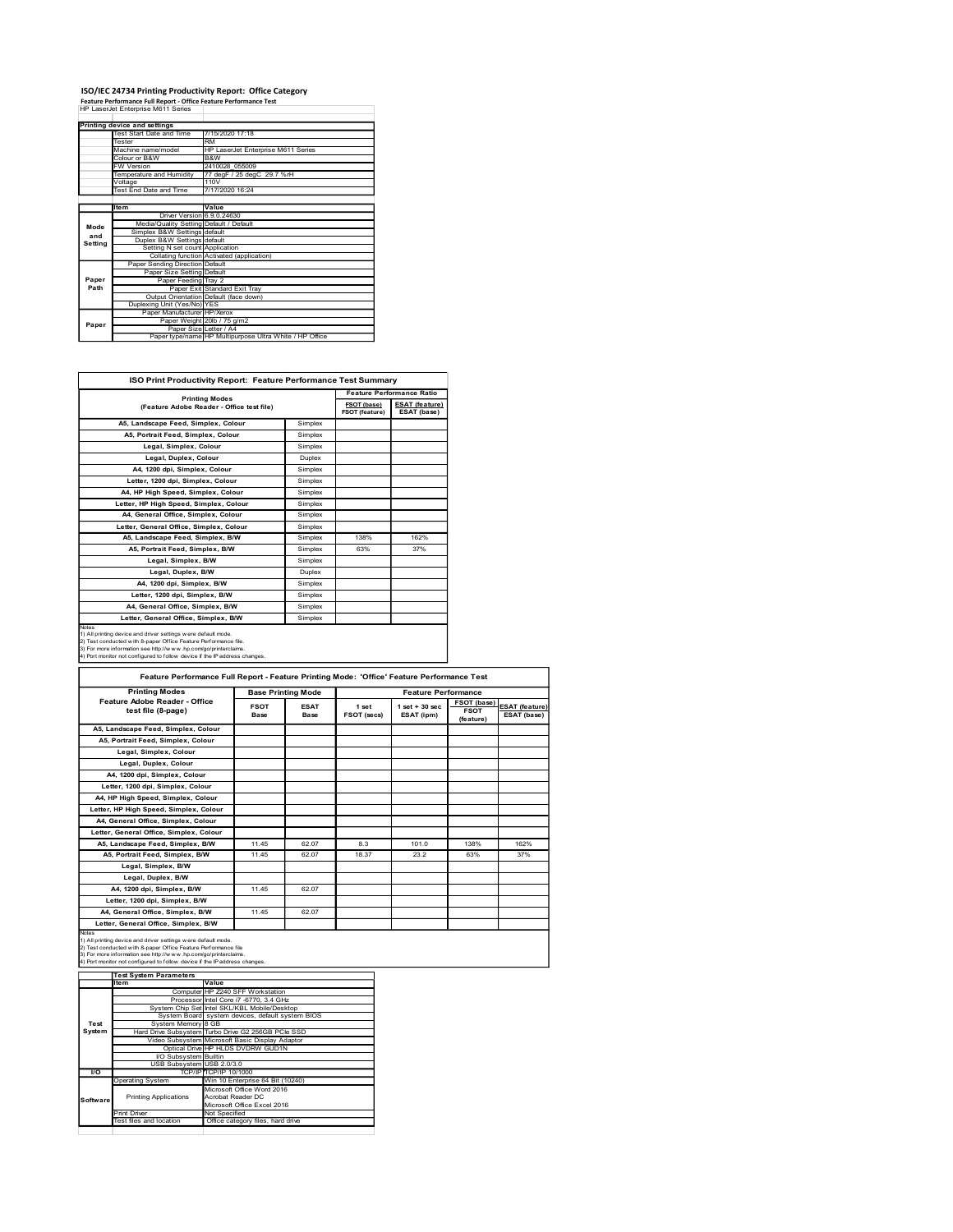### ISO/IEC 24734 Printing Productivity Report: Office Category Feature Performance Full Report - Office Feature Performance Test

|               | ISO/IEC 24734 Printing Productivity Report: Office Category                                             |                                                                 |             |                                                           |
|---------------|---------------------------------------------------------------------------------------------------------|-----------------------------------------------------------------|-------------|-----------------------------------------------------------|
|               | Feature Performance Full Report - Office Feature Performance Test<br>HP LaserJet Enterprise M611 Series |                                                                 |             |                                                           |
|               | Printing device and settings                                                                            |                                                                 |             |                                                           |
|               | Test Start Date and Time<br>Tester                                                                      | 7/15/2020 17:18                                                 |             |                                                           |
|               | Machine name/model                                                                                      |                                                                 |             |                                                           |
|               |                                                                                                         | <b>RM</b><br>HP LaserJet Enterprise M611 Series                 |             |                                                           |
|               | Colour or B&W                                                                                           | B&W                                                             |             |                                                           |
|               | <b>FW Version</b><br>Temperature and Humidity                                                           | 2410028_055009                                                  |             |                                                           |
|               | Voltage<br>Test End Date and Time                                                                       | 77 degF / 25 degC 29.7 %rH<br>110V<br>7/17/2020 16:24           |             |                                                           |
|               | Item                                                                                                    | Value                                                           |             |                                                           |
|               | Driver Version 6.9.0.24630                                                                              |                                                                 |             |                                                           |
| Mode          | Media/Quality Setting Default / Default                                                                 |                                                                 |             |                                                           |
| and           | Simplex B&W Settings default<br>Duplex B&W Settings default                                             |                                                                 |             |                                                           |
| Setting       | Setting N set count Application                                                                         |                                                                 |             |                                                           |
|               | Paper Sending Direction Default                                                                         | Collating function Activated (application)                      |             |                                                           |
|               | Paper Size Setting Default                                                                              |                                                                 |             |                                                           |
| Paper<br>Path | Paper Feeding Tray 2                                                                                    | Paper Exit Standard Exit Tray                                   |             |                                                           |
|               |                                                                                                         |                                                                 |             |                                                           |
|               | Output Orientation Default (face down)<br>Duplexing Unit (Yes/No) YES<br>Paper Manufacturer HP/Xerox    |                                                                 |             |                                                           |
| Paper         |                                                                                                         | Paper Weight 20lb / 75 g/m2                                     |             |                                                           |
|               | Paper Size Letter / A4                                                                                  | Paper type/name HP Multipurpose Ultra White / HP Office         |             |                                                           |
|               |                                                                                                         |                                                                 |             |                                                           |
|               |                                                                                                         | ISO Print Productivity Report: Feature Performance Test Summary |             |                                                           |
|               |                                                                                                         | <b>Printing Modes</b>                                           | FSOT (base) | <b>Feature Performance Ratio</b><br><b>ESAT</b> (feature) |

|                                                                                                                                                                                                                                                                                                                                                                                           | Test Start Date and Time                                                                                                                        | 7/15/2020 17:18                         |                                                                |                    |                               |                                      |                            |                       |
|-------------------------------------------------------------------------------------------------------------------------------------------------------------------------------------------------------------------------------------------------------------------------------------------------------------------------------------------------------------------------------------------|-------------------------------------------------------------------------------------------------------------------------------------------------|-----------------------------------------|----------------------------------------------------------------|--------------------|-------------------------------|--------------------------------------|----------------------------|-----------------------|
|                                                                                                                                                                                                                                                                                                                                                                                           | Tester                                                                                                                                          | <b>RM</b>                               |                                                                |                    |                               |                                      |                            |                       |
|                                                                                                                                                                                                                                                                                                                                                                                           | Machine name/model<br>Colour or B&W                                                                                                             | B&W                                     | HP LaserJet Enterprise M611 Series                             |                    |                               |                                      |                            |                       |
|                                                                                                                                                                                                                                                                                                                                                                                           | W Version<br>Femperature and Humidity                                                                                                           | 2410028_055009                          | 77 degF / 25 degC 29.7 %rH                                     |                    |                               |                                      |                            |                       |
|                                                                                                                                                                                                                                                                                                                                                                                           | /oltage<br>Fest End Date and Time                                                                                                               | 110V<br>7/17/2020 16:24                 |                                                                |                    |                               |                                      |                            |                       |
|                                                                                                                                                                                                                                                                                                                                                                                           | Item                                                                                                                                            |                                         |                                                                |                    |                               |                                      |                            |                       |
|                                                                                                                                                                                                                                                                                                                                                                                           | Driver Version 6.9.0.24630                                                                                                                      | Value                                   |                                                                |                    |                               |                                      |                            |                       |
| Mode<br>and                                                                                                                                                                                                                                                                                                                                                                               | Simplex B&W Settings default                                                                                                                    | Media/Quality Setting Default / Default |                                                                |                    |                               |                                      |                            |                       |
| Setting                                                                                                                                                                                                                                                                                                                                                                                   | Duplex B&W Settings default<br>Setting N set count Application<br>Collating function Activated (application)                                    |                                         |                                                                |                    |                               |                                      |                            |                       |
|                                                                                                                                                                                                                                                                                                                                                                                           | Paper Sending Direction Default                                                                                                                 |                                         |                                                                |                    |                               |                                      |                            |                       |
| Paper                                                                                                                                                                                                                                                                                                                                                                                     | Paper Size Setting Default<br>Paper Feeding Tray 2                                                                                              |                                         |                                                                |                    |                               |                                      |                            |                       |
| Path                                                                                                                                                                                                                                                                                                                                                                                      |                                                                                                                                                 | Paper Exit Standard Exit Tray           |                                                                |                    |                               |                                      |                            |                       |
|                                                                                                                                                                                                                                                                                                                                                                                           | Output Orientation Default (face down)<br>Duplexing Unit (Yes/No) YES                                                                           |                                         |                                                                |                    |                               |                                      |                            |                       |
| Paper                                                                                                                                                                                                                                                                                                                                                                                     | Paper Manufacturer HP/Xerox<br>Paper Weight 20lb / 75 g/m2                                                                                      |                                         |                                                                |                    |                               |                                      |                            |                       |
|                                                                                                                                                                                                                                                                                                                                                                                           | Paper Size Letter / A4<br>Paper type/name HP Multipurpose Ultra White / HP Office                                                               |                                         |                                                                |                    |                               |                                      |                            |                       |
|                                                                                                                                                                                                                                                                                                                                                                                           |                                                                                                                                                 |                                         |                                                                |                    |                               |                                      |                            |                       |
|                                                                                                                                                                                                                                                                                                                                                                                           |                                                                                                                                                 |                                         |                                                                |                    |                               |                                      |                            |                       |
|                                                                                                                                                                                                                                                                                                                                                                                           | ISO Print Productivity Report: Feature Performance Test Summary                                                                                 |                                         |                                                                |                    |                               |                                      |                            |                       |
|                                                                                                                                                                                                                                                                                                                                                                                           |                                                                                                                                                 |                                         |                                                                |                    |                               | <b>Feature Performance Ratio</b>     |                            |                       |
|                                                                                                                                                                                                                                                                                                                                                                                           | (Feature Adobe Reader - Office test file)                                                                                                       | <b>Printing Modes</b>                   |                                                                |                    | FSOT (base)<br>FSOT (feature) | <b>ESAT (feature)</b><br>ESAT (base) |                            |                       |
|                                                                                                                                                                                                                                                                                                                                                                                           | A5, Landscape Feed, Simplex, Colour                                                                                                             |                                         |                                                                | Simplex            |                               |                                      |                            |                       |
|                                                                                                                                                                                                                                                                                                                                                                                           | A5, Portrait Feed, Simplex, Colour                                                                                                              |                                         |                                                                | Simplex            |                               |                                      |                            |                       |
|                                                                                                                                                                                                                                                                                                                                                                                           | Legal, Simplex, Colour                                                                                                                          |                                         |                                                                | Simplex            |                               |                                      |                            |                       |
|                                                                                                                                                                                                                                                                                                                                                                                           | Legal, Duplex, Colour                                                                                                                           |                                         |                                                                | Duplex             |                               |                                      |                            |                       |
|                                                                                                                                                                                                                                                                                                                                                                                           | A4, 1200 dpi, Simplex, Colour<br>Letter, 1200 dpi, Simplex, Colour                                                                              |                                         |                                                                | Simplex<br>Simplex |                               |                                      |                            |                       |
|                                                                                                                                                                                                                                                                                                                                                                                           | A4, HP High Speed, Simplex, Colour                                                                                                              |                                         |                                                                | Simplex            |                               |                                      |                            |                       |
|                                                                                                                                                                                                                                                                                                                                                                                           | Letter, HP High Speed, Simplex, Colour                                                                                                          |                                         |                                                                | Simplex            |                               |                                      |                            |                       |
|                                                                                                                                                                                                                                                                                                                                                                                           | A4, General Office, Simplex, Colour                                                                                                             |                                         |                                                                | Simplex            |                               |                                      |                            |                       |
|                                                                                                                                                                                                                                                                                                                                                                                           | Letter, General Office, Simplex, Colour<br>A5, Landscape Feed, Simplex, B/W                                                                     |                                         |                                                                | Simplex<br>Simplex | 138%                          | 162%                                 |                            |                       |
|                                                                                                                                                                                                                                                                                                                                                                                           | A5, Portrait Feed, Simplex, B/W                                                                                                                 |                                         |                                                                | Simplex            | 63%                           | 37%                                  |                            |                       |
|                                                                                                                                                                                                                                                                                                                                                                                           | Legal, Simplex, B/W                                                                                                                             |                                         |                                                                | Simplex            |                               |                                      |                            |                       |
|                                                                                                                                                                                                                                                                                                                                                                                           | Legal, Duplex, B/W                                                                                                                              |                                         |                                                                | Duplex             |                               |                                      |                            |                       |
|                                                                                                                                                                                                                                                                                                                                                                                           | A4, 1200 dpi, Simplex, B/W                                                                                                                      |                                         |                                                                | Simplex            |                               |                                      |                            |                       |
|                                                                                                                                                                                                                                                                                                                                                                                           | Letter, 1200 dpi, Simplex, B/W<br>A4, General Office, Simplex, B/W                                                                              |                                         |                                                                | Simplex<br>Simplex |                               |                                      |                            |                       |
|                                                                                                                                                                                                                                                                                                                                                                                           | Letter, General Office, Simplex, B/W                                                                                                            |                                         |                                                                | Simplex            |                               |                                      |                            |                       |
| Note<br>1) All printing device and driver settings were default mode.<br>2) Test conducted with 8-paper Office Feature Performance file.<br>3) For more information see http://w w w .hp.com/go/printerclaims.<br>4) Port monitor not configured to follow device if the P address changes.<br>Feature Performance Full Report - Feature Printing Mode: 'Office' Feature Performance Test |                                                                                                                                                 |                                         |                                                                |                    |                               |                                      |                            |                       |
|                                                                                                                                                                                                                                                                                                                                                                                           |                                                                                                                                                 |                                         |                                                                |                    |                               |                                      |                            |                       |
|                                                                                                                                                                                                                                                                                                                                                                                           | <b>Printing Modes</b>                                                                                                                           |                                         | <b>Base Printing Mode</b>                                      |                    |                               | <b>Feature Performance</b>           |                            |                       |
|                                                                                                                                                                                                                                                                                                                                                                                           | Feature Adobe Reader - Office<br>test file (8-page)                                                                                             |                                         | <b>FSOT</b>                                                    | <b>ESAT</b>        | 1 set                         | $1$ set $+30$ sec                    | FSOT (base)<br><b>FSOT</b> | <b>ESAT</b> (feature) |
|                                                                                                                                                                                                                                                                                                                                                                                           |                                                                                                                                                 |                                         | Base                                                           | Base               | FSOT (secs)                   | ESAT (ipm)                           | (feature)                  | ESAT (base)           |
|                                                                                                                                                                                                                                                                                                                                                                                           | A5, Landscape Feed, Simplex, Colour<br>A5, Portrait Feed, Simplex, Colour                                                                       |                                         |                                                                |                    |                               |                                      |                            |                       |
|                                                                                                                                                                                                                                                                                                                                                                                           | Legal, Simplex, Colour                                                                                                                          |                                         |                                                                |                    |                               |                                      |                            |                       |
|                                                                                                                                                                                                                                                                                                                                                                                           | Legal, Duplex, Colour                                                                                                                           |                                         |                                                                |                    |                               |                                      |                            |                       |
|                                                                                                                                                                                                                                                                                                                                                                                           | A4, 1200 dpi, Simplex, Colour                                                                                                                   |                                         |                                                                |                    |                               |                                      |                            |                       |
|                                                                                                                                                                                                                                                                                                                                                                                           | Letter, 1200 dpi, Simplex, Colour<br>A4, HP High Speed, Simplex, Colour                                                                         |                                         |                                                                |                    |                               |                                      |                            |                       |
|                                                                                                                                                                                                                                                                                                                                                                                           | Letter, HP High Speed, Simplex, Colour                                                                                                          |                                         |                                                                |                    |                               |                                      |                            |                       |
|                                                                                                                                                                                                                                                                                                                                                                                           | A4, General Office, Simplex, Colour                                                                                                             |                                         |                                                                |                    |                               |                                      |                            |                       |
|                                                                                                                                                                                                                                                                                                                                                                                           | Letter, General Office, Simplex, Colour                                                                                                         |                                         |                                                                |                    |                               |                                      |                            |                       |
|                                                                                                                                                                                                                                                                                                                                                                                           | A5, Landscape Feed, Simplex, B/W<br>A5, Portrait Feed, Simplex, B/W                                                                             |                                         | 11.45                                                          | 62.07              | 8.3                           | 101.0                                | 138%                       | 162%                  |
|                                                                                                                                                                                                                                                                                                                                                                                           | Legal, Simplex, B/W                                                                                                                             |                                         | 11.45                                                          | 62.07              | 18.37                         | 23.2                                 | 63%                        | 37%                   |
|                                                                                                                                                                                                                                                                                                                                                                                           | Legal, Duplex, B/W                                                                                                                              |                                         |                                                                |                    |                               |                                      |                            |                       |
|                                                                                                                                                                                                                                                                                                                                                                                           | A4, 1200 dpi, Simplex, B/W                                                                                                                      |                                         | 11.45                                                          | 62.07              |                               |                                      |                            |                       |
|                                                                                                                                                                                                                                                                                                                                                                                           | Letter, 1200 dpi, Simplex, B/W                                                                                                                  |                                         |                                                                |                    |                               |                                      |                            |                       |
|                                                                                                                                                                                                                                                                                                                                                                                           | A4, General Office, Simplex, B/W<br>Letter, General Office, Simplex, B/W                                                                        |                                         | 11.45                                                          | 62.07              |                               |                                      |                            |                       |
| Notes                                                                                                                                                                                                                                                                                                                                                                                     |                                                                                                                                                 |                                         |                                                                |                    |                               |                                      |                            |                       |
|                                                                                                                                                                                                                                                                                                                                                                                           | 1) All printing device and driver settings were default mode.<br>2) Test conducted with 8-paper Office Feature Performance file                 |                                         |                                                                |                    |                               |                                      |                            |                       |
|                                                                                                                                                                                                                                                                                                                                                                                           | 3) For more information see http://w w w .hp.com/go/printerclaims<br>4) Port monitor not configured to follow device if the IP address changes. |                                         |                                                                |                    |                               |                                      |                            |                       |
|                                                                                                                                                                                                                                                                                                                                                                                           | <b>Test System Parameters</b>                                                                                                                   |                                         |                                                                |                    |                               |                                      |                            |                       |
|                                                                                                                                                                                                                                                                                                                                                                                           | Item                                                                                                                                            | Value                                   | Computer HP Z240 SFF Workstation                               |                    |                               |                                      |                            |                       |
|                                                                                                                                                                                                                                                                                                                                                                                           |                                                                                                                                                 |                                         | Processor Intel Core i7 -6770, 3.4 GHz                         |                    |                               |                                      |                            |                       |
|                                                                                                                                                                                                                                                                                                                                                                                           | System Chip Set Intel SKL/KBL Mobile/Desktop<br>System Board system devices, default system BIOS                                                |                                         |                                                                |                    |                               |                                      |                            |                       |
| Test<br>System                                                                                                                                                                                                                                                                                                                                                                            | System Memory 8 GB<br>Hard Drive Subsystem Turbo Drive G2 256GB PCle SSD                                                                        |                                         |                                                                |                    |                               |                                      |                            |                       |
|                                                                                                                                                                                                                                                                                                                                                                                           | Video Subsystem Microsoft Basic Display Adaptor<br>Optical Drive HP HLDS DVDRW GUD1N                                                            |                                         |                                                                |                    |                               |                                      |                            |                       |
|                                                                                                                                                                                                                                                                                                                                                                                           | I/O Subsystem Builtin                                                                                                                           |                                         |                                                                |                    |                               |                                      |                            |                       |
| <b>I</b>                                                                                                                                                                                                                                                                                                                                                                                  | USB Subsystem USB 2.0/3.0                                                                                                                       | TCP/IP TCP/IP 10/1000                   |                                                                |                    |                               |                                      |                            |                       |
|                                                                                                                                                                                                                                                                                                                                                                                           | Operating System                                                                                                                                |                                         | Win 10 Enterprise 64 Bit (10240)<br>Microsoft Office Word 2016 |                    |                               |                                      |                            |                       |
| Software                                                                                                                                                                                                                                                                                                                                                                                  | <b>Printing Applications</b>                                                                                                                    | Acrobat Reader DC                       | Microsoft Office Excel 2016                                    |                    |                               |                                      |                            |                       |

|          | Letter, General Office, Simplex, B/W                                                                                                                                                                                                                                              |                       |                                                                  | Simplex                   |             |                            |                          |                       |
|----------|-----------------------------------------------------------------------------------------------------------------------------------------------------------------------------------------------------------------------------------------------------------------------------------|-----------------------|------------------------------------------------------------------|---------------------------|-------------|----------------------------|--------------------------|-----------------------|
| Notes    | 1) All printing device and driver settings were default mode.<br>2) Test conducted with 8-paper Office Feature Performance file.<br>3) For more information see http://www.hp.com/go/printerclaims.<br>4) Port monitor not configured to follow device if the P address changes.  |                       |                                                                  |                           |             |                            |                          |                       |
|          | Feature Performance Full Report - Feature Printing Mode: 'Office' Feature Performance Test                                                                                                                                                                                        |                       |                                                                  |                           |             |                            |                          |                       |
|          | <b>Printing Modes</b>                                                                                                                                                                                                                                                             |                       |                                                                  | <b>Base Printing Mode</b> |             | <b>Feature Performance</b> |                          |                       |
|          | Feature Adobe Reader - Office                                                                                                                                                                                                                                                     |                       | <b>FSOT</b>                                                      | <b>ESAT</b>               | 1 set       | $1 set + 30 sec$           | FSOT (base)              | <b>ESAT</b> (feature) |
|          | test file (8-page)                                                                                                                                                                                                                                                                |                       | Base                                                             | Base                      | FSOT (secs) | ESAT (ipm)                 | <b>FSOT</b><br>(feature) | ESAT (base)           |
|          | A5, Landscape Feed, Simplex, Colour                                                                                                                                                                                                                                               |                       |                                                                  |                           |             |                            |                          |                       |
|          | A5, Portrait Feed, Simplex, Colour                                                                                                                                                                                                                                                |                       |                                                                  |                           |             |                            |                          |                       |
|          | Legal, Simplex, Colour                                                                                                                                                                                                                                                            |                       |                                                                  |                           |             |                            |                          |                       |
|          | Legal, Duplex, Colour<br>A4, 1200 dpi, Simplex, Colour                                                                                                                                                                                                                            |                       |                                                                  |                           |             |                            |                          |                       |
|          | Letter, 1200 dpi, Simplex, Colour                                                                                                                                                                                                                                                 |                       |                                                                  |                           |             |                            |                          |                       |
|          | A4, HP High Speed, Simplex, Colour                                                                                                                                                                                                                                                |                       |                                                                  |                           |             |                            |                          |                       |
|          | Letter, HP High Speed, Simplex, Colour                                                                                                                                                                                                                                            |                       |                                                                  |                           |             |                            |                          |                       |
|          | A4, General Office, Simplex, Colour                                                                                                                                                                                                                                               |                       |                                                                  |                           |             |                            |                          |                       |
|          | Letter, General Office, Simplex, Colour                                                                                                                                                                                                                                           |                       |                                                                  |                           |             |                            |                          |                       |
|          | A5, Landscape Feed, Simplex, B/W                                                                                                                                                                                                                                                  |                       | 11.45                                                            | 62.07                     | 8.3         | 101.0                      | 138%                     | 162%                  |
|          | A5, Portrait Feed, Simplex, B/W                                                                                                                                                                                                                                                   |                       | 11.45                                                            | 62.07                     | 18.37       | 23.2                       | 63%                      | 37%                   |
|          | Legal, Simplex, B/W                                                                                                                                                                                                                                                               |                       |                                                                  |                           |             |                            |                          |                       |
|          | Legal, Duplex, B/W                                                                                                                                                                                                                                                                |                       |                                                                  |                           |             |                            |                          |                       |
|          | A4, 1200 dpi, Simplex, B/W                                                                                                                                                                                                                                                        |                       | 11.45                                                            | 62.07                     |             |                            |                          |                       |
|          |                                                                                                                                                                                                                                                                                   |                       |                                                                  |                           |             |                            |                          |                       |
|          | Letter, 1200 dpi, Simplex, B/W                                                                                                                                                                                                                                                    |                       |                                                                  |                           |             |                            |                          |                       |
|          | A4, General Office, Simplex, B/W                                                                                                                                                                                                                                                  |                       | 11.45                                                            | 62.07                     |             |                            |                          |                       |
|          | Letter, General Office, Simplex, B/W                                                                                                                                                                                                                                              |                       |                                                                  |                           |             |                            |                          |                       |
| Notes    | 1) All printing device and driver settings w ere default mode.<br>2) Test conducted with 8-paper Office Feature Performance file<br>3) For more information see http://www.hp.com/go/printerclaims.<br>4) Port monitor not configured to follow device if the IP address changes. |                       |                                                                  |                           |             |                            |                          |                       |
|          | <b>Test System Parameters</b><br>Item                                                                                                                                                                                                                                             | Value                 |                                                                  |                           |             |                            |                          |                       |
|          |                                                                                                                                                                                                                                                                                   |                       | Computer HP Z240 SFF Workstation                                 |                           |             |                            |                          |                       |
|          |                                                                                                                                                                                                                                                                                   |                       | Processor Intel Core i7 -6770, 3.4 GHz                           |                           |             |                            |                          |                       |
|          | System Chip Set Intel SKL/KBL Mobile/Desktop                                                                                                                                                                                                                                      |                       | System Board system devices, default system BIOS                 |                           |             |                            |                          |                       |
| Test     | System Memory 8 GB                                                                                                                                                                                                                                                                |                       |                                                                  |                           |             |                            |                          |                       |
| System   | Hard Drive Subsystem Turbo Drive G2 256GB PCle SSD                                                                                                                                                                                                                                |                       |                                                                  |                           |             |                            |                          |                       |
|          | Video Subsystem Microsoft Basic Display Adaptor                                                                                                                                                                                                                                   |                       | Optical Drive HP HLDS DVDRW GUD1N                                |                           |             |                            |                          |                       |
|          | I/O Subsystem Builtin                                                                                                                                                                                                                                                             |                       |                                                                  |                           |             |                            |                          |                       |
|          | USB Subsystem USB 2.0/3.0                                                                                                                                                                                                                                                         |                       |                                                                  |                           |             |                            |                          |                       |
| I/O      | <b>Operating System</b>                                                                                                                                                                                                                                                           | TCP/IP TCP/IP 10/1000 | Win 10 Enterprise 64 Bit (10240)                                 |                           |             |                            |                          |                       |
|          |                                                                                                                                                                                                                                                                                   |                       | Microsoft Office Word 2016                                       |                           |             |                            |                          |                       |
| Software | <b>Printing Applications</b>                                                                                                                                                                                                                                                      | Acrobat Reader DC     |                                                                  |                           |             |                            |                          |                       |
|          | <b>Print Driver</b><br>Test files and location                                                                                                                                                                                                                                    | Not Specified         | Microsoft Office Excel 2016<br>Office category files, hard drive |                           |             |                            |                          |                       |

|                  | <b>Test System Parameters</b> |                                                    |  |
|------------------|-------------------------------|----------------------------------------------------|--|
|                  | <b>Item</b>                   | Value                                              |  |
|                  |                               | Computer HP Z240 SFF Workstation                   |  |
|                  |                               | Processor Intel Core i7 -6770, 3.4 GHz             |  |
|                  |                               | System Chip Set Intel SKL/KBL Mobile/Desktop       |  |
|                  |                               | System Board system devices, default system BIOS   |  |
| Test             | System Memory 8 GB            |                                                    |  |
| System           |                               | Hard Drive Subsystem Turbo Drive G2 256GB PCIe SSD |  |
|                  |                               | Video Subsystem Microsoft Basic Display Adaptor    |  |
|                  |                               | Optical Drive HP HLDS DVDRW GUD1N                  |  |
|                  | <b>VO Subsystem</b> Builtin   |                                                    |  |
|                  | USB Subsystem USB 2.0/3.0     |                                                    |  |
| $\overline{1/O}$ |                               | TCP/IP TCP/IP 10/1000                              |  |
|                  | <b>Operating System</b>       | Win 10 Enterprise 64 Bit (10240)                   |  |
|                  |                               | Microsoft Office Word 2016                         |  |
| <b>Software</b>  | <b>Printing Applications</b>  | Acrobat Reader DC                                  |  |
|                  |                               | Microsoft Office Excel 2016                        |  |
|                  | <b>Print Driver</b>           | Not Specified                                      |  |
|                  | Test files and location       | Office category files, hard drive                  |  |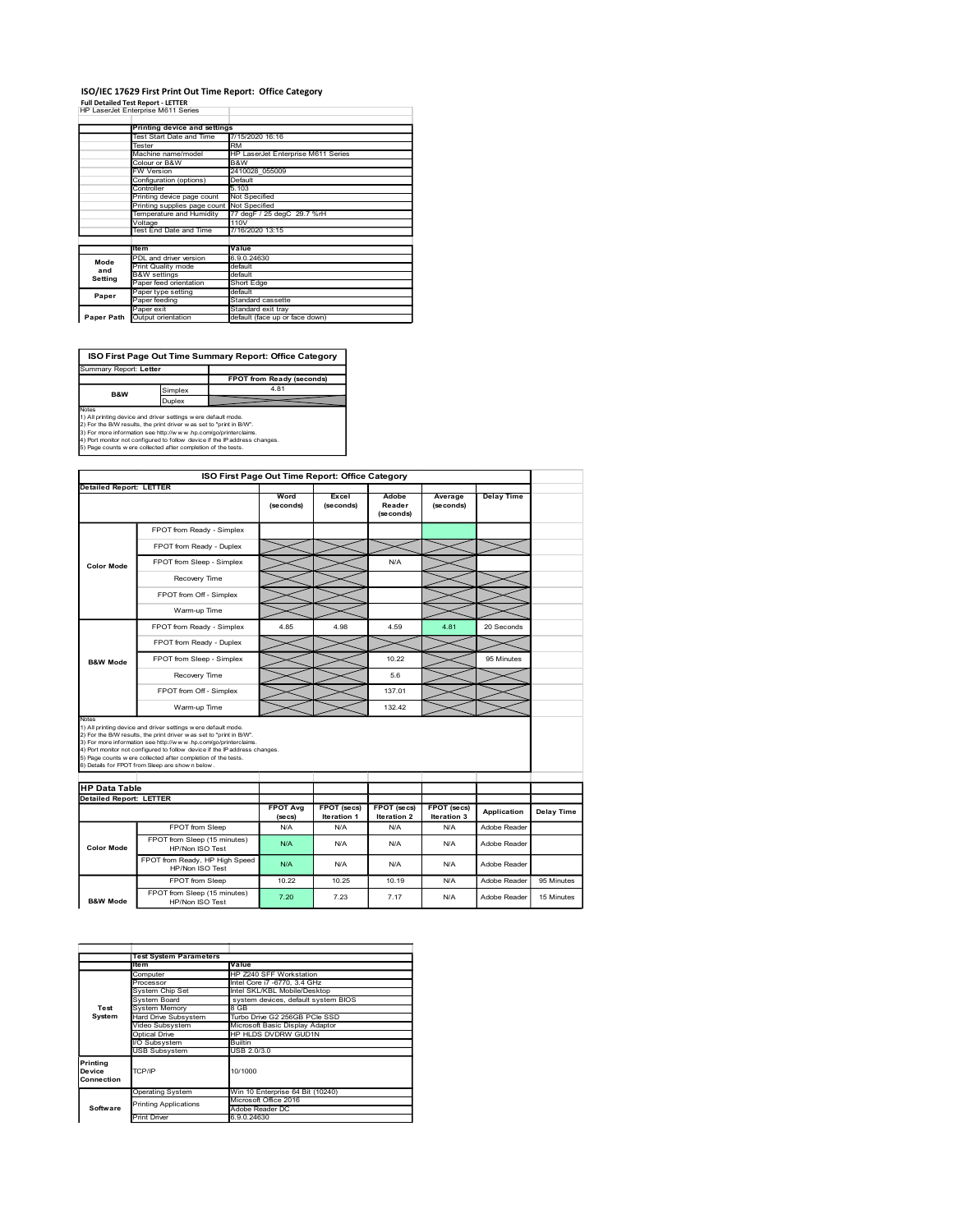# ISO/IEC 17629 First Print Out Time Report: Office Category

|                                                                                                                                                                                                                                                                                                                                                      |                                                                                                     |                                              |                       | ISO/IEC 17629 First Print Out Time Report: Office Category |                    |                 |                      |                   |  |
|------------------------------------------------------------------------------------------------------------------------------------------------------------------------------------------------------------------------------------------------------------------------------------------------------------------------------------------------------|-----------------------------------------------------------------------------------------------------|----------------------------------------------|-----------------------|------------------------------------------------------------|--------------------|-----------------|----------------------|-------------------|--|
| <b>Full Detailed Test Report - LETTER</b><br>HP LaserJet Enterprise M611 Series                                                                                                                                                                                                                                                                      |                                                                                                     |                                              |                       |                                                            |                    |                 |                      |                   |  |
|                                                                                                                                                                                                                                                                                                                                                      |                                                                                                     | <b>Printing device and settings</b>          |                       |                                                            |                    |                 |                      |                   |  |
|                                                                                                                                                                                                                                                                                                                                                      | Tester                                                                                              | Test Start Date and Time                     | RM                    | 7/15/2020 16:16                                            |                    |                 |                      |                   |  |
|                                                                                                                                                                                                                                                                                                                                                      | Colour or B&W                                                                                       | Machine name/model                           | B&W                   | HP LaserJet Enterprise M611 Series                         |                    |                 |                      |                   |  |
|                                                                                                                                                                                                                                                                                                                                                      | FW Version                                                                                          |                                              | Default               | 2410028_055009                                             |                    |                 |                      |                   |  |
|                                                                                                                                                                                                                                                                                                                                                      | Configuration (options)<br>Controller<br>Printing device page count<br>Printing supplies page count |                                              |                       |                                                            |                    |                 |                      |                   |  |
|                                                                                                                                                                                                                                                                                                                                                      |                                                                                                     |                                              |                       | Not Specified<br>Not Specified                             |                    |                 |                      |                   |  |
|                                                                                                                                                                                                                                                                                                                                                      | Voltage                                                                                             | Temperature and Humidity                     | 110V                  | 77 degF / 25 degC 29.7 %rH                                 |                    |                 |                      |                   |  |
|                                                                                                                                                                                                                                                                                                                                                      |                                                                                                     | Test End Date and Time                       |                       | 7/16/2020 13:15                                            |                    |                 |                      |                   |  |
| Mode                                                                                                                                                                                                                                                                                                                                                 | ltem                                                                                                | PDL and driver version                       | Value<br>6.9.0.24630  |                                                            |                    |                 |                      |                   |  |
| and<br>Setting                                                                                                                                                                                                                                                                                                                                       | <b>B&amp;W</b> settings                                                                             | Print Quality mode                           | default<br>default    |                                                            |                    |                 |                      |                   |  |
| Paper                                                                                                                                                                                                                                                                                                                                                |                                                                                                     | Paper feed orientation<br>Paper type setting | Short Edge<br>default |                                                            |                    |                 |                      |                   |  |
|                                                                                                                                                                                                                                                                                                                                                      | Paper feeding<br>aper exit?                                                                         |                                              |                       | Standard cassette<br>Standard exit tray                    |                    |                 |                      |                   |  |
| Paper Path Output orientation                                                                                                                                                                                                                                                                                                                        |                                                                                                     |                                              |                       | default (face up or face down)                             |                    |                 |                      |                   |  |
|                                                                                                                                                                                                                                                                                                                                                      |                                                                                                     |                                              |                       |                                                            |                    |                 |                      |                   |  |
|                                                                                                                                                                                                                                                                                                                                                      |                                                                                                     |                                              |                       | ISO First Page Out Time Summary Report: Office Category    |                    |                 |                      |                   |  |
|                                                                                                                                                                                                                                                                                                                                                      |                                                                                                     |                                              |                       | FPOT from Ready (seconds)                                  |                    |                 |                      |                   |  |
|                                                                                                                                                                                                                                                                                                                                                      | 4.81<br>Simplex<br>B&W<br>Duplex                                                                    |                                              |                       |                                                            |                    |                 |                      |                   |  |
|                                                                                                                                                                                                                                                                                                                                                      |                                                                                                     |                                              |                       |                                                            |                    |                 |                      |                   |  |
|                                                                                                                                                                                                                                                                                                                                                      |                                                                                                     |                                              |                       |                                                            |                    |                 |                      |                   |  |
| 2) For the R/W results the print driver a                                                                                                                                                                                                                                                                                                            |                                                                                                     |                                              | set to "print in R/W  |                                                            |                    |                 |                      |                   |  |
|                                                                                                                                                                                                                                                                                                                                                      |                                                                                                     |                                              |                       |                                                            |                    |                 |                      |                   |  |
|                                                                                                                                                                                                                                                                                                                                                      |                                                                                                     |                                              |                       |                                                            |                    |                 |                      |                   |  |
|                                                                                                                                                                                                                                                                                                                                                      |                                                                                                     |                                              |                       | ISO First Page Out Time Report: Office Category            |                    |                 |                      |                   |  |
|                                                                                                                                                                                                                                                                                                                                                      |                                                                                                     |                                              |                       | Word<br>(seconds)                                          | Excel<br>(seconds) | Adobe<br>Reader | Average<br>(seconds) | <b>Delay Time</b> |  |
| Summary Report: Letter<br>Notes<br>1) All printing device and driver settings were default mode.<br>3) For more information see http://www.hp.com/go/printerclaims.<br>4) Port monitor not configured to follow device if the IP address changes.<br>5) Page counts w ere collected after completion of the tests.<br><b>Detailed Report: LETTER</b> |                                                                                                     | FPOT from Ready - Simplex                    |                       |                                                            |                    | (seconds)       |                      |                   |  |

|                                | Machine name/model<br>Colour or B&W                                                                                                         | B&W                                     | HP LaserJet Enterprise M611 Series                                 |                                                 |                            |                            |                   |                   |
|--------------------------------|---------------------------------------------------------------------------------------------------------------------------------------------|-----------------------------------------|--------------------------------------------------------------------|-------------------------------------------------|----------------------------|----------------------------|-------------------|-------------------|
|                                | <b>FW Version</b>                                                                                                                           | 2410028_055009                          |                                                                    |                                                 |                            |                            |                   |                   |
|                                | Configuration (options)<br>Controller                                                                                                       | <b>Default</b><br>5.103                 |                                                                    |                                                 |                            |                            |                   |                   |
|                                | Printing device page count<br>Printing supplies page count                                                                                  | Not Specified<br>Not Specified          |                                                                    |                                                 |                            |                            |                   |                   |
|                                | Temperature and Humidity                                                                                                                    |                                         | 77 degF / 25 degC 29.7 %rH                                         |                                                 |                            |                            |                   |                   |
|                                | Voltage<br>Test End Date and Time                                                                                                           | 110V<br>7/16/2020 13:15                 |                                                                    |                                                 |                            |                            |                   |                   |
|                                | ltem                                                                                                                                        | Value                                   |                                                                    |                                                 |                            |                            |                   |                   |
| Mode                           | PDL and driver version<br>Print Quality mode                                                                                                | 6.9.0.24630<br>default                  |                                                                    |                                                 |                            |                            |                   |                   |
| and<br>Setting                 | <b>B&amp;W</b> settings                                                                                                                     | default                                 |                                                                    |                                                 |                            |                            |                   |                   |
| Paper                          | Paper feed orientation<br>Paper type setting                                                                                                | Short Edge<br>default                   |                                                                    |                                                 |                            |                            |                   |                   |
|                                | Paper feeding<br>Paper exit                                                                                                                 | Standard cassette<br>Standard exit tray |                                                                    |                                                 |                            |                            |                   |                   |
|                                | Paper Path Output orientation                                                                                                               |                                         | default (face up or face down)                                     |                                                 |                            |                            |                   |                   |
|                                |                                                                                                                                             |                                         |                                                                    |                                                 |                            |                            |                   |                   |
|                                | ISO First Page Out Time Summary Report: Office Category                                                                                     |                                         |                                                                    |                                                 |                            |                            |                   |                   |
| Summary Report: Letter         |                                                                                                                                             |                                         |                                                                    |                                                 |                            |                            |                   |                   |
|                                |                                                                                                                                             |                                         | FPOT from Ready (seconds)                                          |                                                 |                            |                            |                   |                   |
| B&W                            | Simplex<br>Duplex                                                                                                                           |                                         | 4.81                                                               |                                                 |                            |                            |                   |                   |
| Notes                          | 1) All printing device and driver settings were default mode.                                                                               |                                         |                                                                    |                                                 |                            |                            |                   |                   |
|                                | 2) For the B/W results, the print driver was set to "print in B/W".<br>3) For more information see http://www.hp.com/go/printerclaims.      |                                         |                                                                    |                                                 |                            |                            |                   |                   |
|                                | 4) Port monitor not configured to follow device if the IP address changes.<br>5) Page counts were collected after completion of the tests.  |                                         |                                                                    |                                                 |                            |                            |                   |                   |
|                                |                                                                                                                                             |                                         |                                                                    |                                                 |                            |                            |                   |                   |
|                                |                                                                                                                                             |                                         |                                                                    | ISO First Page Out Time Report: Office Category |                            |                            |                   |                   |
| <b>Detailed Report: LETTER</b> |                                                                                                                                             |                                         |                                                                    |                                                 |                            |                            |                   |                   |
|                                |                                                                                                                                             |                                         | Word<br>(seconds)                                                  | Excel<br>(seconds)                              | Adobe<br>Reader            | Average<br>(seconds)       | <b>Delay Time</b> |                   |
|                                |                                                                                                                                             |                                         |                                                                    |                                                 | (seconds)                  |                            |                   |                   |
|                                | FPOT from Ready - Simplex                                                                                                                   |                                         |                                                                    |                                                 |                            |                            |                   |                   |
|                                | FPOT from Ready - Duplex                                                                                                                    |                                         |                                                                    |                                                 |                            |                            |                   |                   |
| <b>Color Mode</b>              | FPOT from Sleep - Simplex                                                                                                                   |                                         |                                                                    |                                                 | N/A                        |                            |                   |                   |
|                                | Recovery Time                                                                                                                               |                                         |                                                                    |                                                 |                            |                            |                   |                   |
|                                | FPOT from Off - Simplex                                                                                                                     |                                         |                                                                    |                                                 |                            |                            |                   |                   |
|                                | Warm-up Time                                                                                                                                |                                         |                                                                    |                                                 |                            |                            |                   |                   |
|                                | FPOT from Ready - Simplex                                                                                                                   |                                         | 4.85                                                               | 4.98                                            | 4.59                       | 4.81                       | 20 Seconds        |                   |
|                                |                                                                                                                                             |                                         |                                                                    |                                                 |                            |                            |                   |                   |
|                                | FPOT from Ready - Duplex                                                                                                                    |                                         |                                                                    |                                                 |                            |                            |                   |                   |
| <b>B&amp;W Mode</b>            | FPOT from Sleep - Simplex                                                                                                                   |                                         |                                                                    |                                                 | 10.22                      |                            | 95 Minutes        |                   |
|                                | Recovery Time                                                                                                                               |                                         |                                                                    |                                                 | 5.6                        |                            |                   |                   |
|                                | FPOT from Off - Simplex                                                                                                                     |                                         |                                                                    |                                                 | 137.01                     |                            |                   |                   |
|                                | Warm-up Time                                                                                                                                |                                         |                                                                    |                                                 | 132.42                     |                            |                   |                   |
| <b>Notes</b>                   | 1) All printing device and driver settings w ere default mode.                                                                              |                                         |                                                                    |                                                 |                            |                            |                   |                   |
|                                | 2) For the B/W results, the print driver was set to "print in B/W".<br>3) For more information see http://www.hp.com/go/printerclaims.      |                                         |                                                                    |                                                 |                            |                            |                   |                   |
|                                | 4) Port monitor not configured to follow device if the IP address changes.<br>5) Page counts w ere collected after completion of the tests. |                                         |                                                                    |                                                 |                            |                            |                   |                   |
|                                | 6) Details for FPOT from Sleep are show n below                                                                                             |                                         |                                                                    |                                                 |                            |                            |                   |                   |
| <b>HP Data Table</b>           |                                                                                                                                             |                                         |                                                                    |                                                 |                            |                            |                   |                   |
| <b>Detailed Report: LETTER</b> |                                                                                                                                             |                                         |                                                                    |                                                 |                            |                            |                   |                   |
|                                |                                                                                                                                             |                                         | <b>FPOT Avg</b><br>(sec)                                           | FPOT (secs)<br>Iteration 1                      | FPOT (secs)<br>Iteration 2 | FPOT (secs)<br>Iteration 3 | Application       | <b>Delay Time</b> |
|                                | FPOT from Sleep                                                                                                                             |                                         | N/A                                                                | N/A                                             | N/A                        | N/A                        | Adobe Reader      |                   |
| <b>Color Mode</b>              | FPOT from Sleep (15 minutes)<br>HP/Non ISO Test                                                                                             |                                         | N/A                                                                | N/A                                             | N/A                        | N/A                        | Adobe Reader      |                   |
|                                | FPOT from Ready, HP High Speed                                                                                                              |                                         |                                                                    |                                                 |                            |                            |                   |                   |
|                                | HP/Non ISO Test                                                                                                                             |                                         | N/A                                                                | N/A                                             | N/A                        | N/A                        | Adobe Reader      |                   |
|                                | FPOT from Sleep<br>FPOT from Sleep (15 minutes)                                                                                             |                                         | 10.22                                                              | 10.25                                           | 10.19                      | N/A                        | Adobe Reader      | 95 Minutes        |
| <b>B&amp;W Mode</b>            | HP/Non ISO Test                                                                                                                             |                                         | 7.20                                                               | 7.23                                            | 7.17                       | N/A                        | Adobe Reader      | 15 Minutes        |
|                                |                                                                                                                                             |                                         |                                                                    |                                                 |                            |                            |                   |                   |
|                                |                                                                                                                                             |                                         |                                                                    |                                                 |                            |                            |                   |                   |
|                                |                                                                                                                                             |                                         |                                                                    |                                                 |                            |                            |                   |                   |
|                                | <b>Test System Parameters</b>                                                                                                               |                                         |                                                                    |                                                 |                            |                            |                   |                   |
|                                | ltem<br>Computer                                                                                                                            | Value                                   | HP Z240 SFF Workstation                                            |                                                 |                            |                            |                   |                   |
|                                | Processor<br>System Chip Set                                                                                                                |                                         | ntel Core i7 -6770, 3.4 GHz                                        |                                                 |                            |                            |                   |                   |
| Test                           | System Board                                                                                                                                |                                         | ntel SKL/KBL Mobile/Desktop<br>system devices, default system BIOS |                                                 |                            |                            |                   |                   |
| System                         | System Memory<br>Hard Drive Subsystem                                                                                                       | 8 GB                                    | Turbo Drive G2 256GB PCIe SSD                                      |                                                 |                            |                            |                   |                   |
|                                | Video Subsystem<br>Optical Drive                                                                                                            |                                         | Microsoft Basic Display Adaptor<br>HP HLDS DVDRW GUD1N             |                                                 |                            |                            |                   |                   |
|                                | I/O Subsystem<br><b>USB Subsystem</b>                                                                                                       | Builtin<br>USB 2.0/3.0                  |                                                                    |                                                 |                            |                            |                   |                   |
|                                |                                                                                                                                             |                                         |                                                                    |                                                 |                            |                            |                   |                   |
|                                |                                                                                                                                             | 10/1000                                 |                                                                    |                                                 |                            |                            |                   |                   |
| Printing<br>Device             | TCP/IP                                                                                                                                      |                                         |                                                                    |                                                 |                            |                            |                   |                   |
| Connection                     |                                                                                                                                             |                                         |                                                                    |                                                 |                            |                            |                   |                   |
|                                | Operating System<br><b>Printing Applications</b>                                                                                            |                                         | Win 10 Enterprise 64 Bit (10240)<br>Microsoft Office 2016          |                                                 |                            |                            |                   |                   |
| Software                       | Print Driver                                                                                                                                | Adobe Reader DC<br>6.9.0.24630          |                                                                    |                                                 |                            |                            |                   |                   |
|                                |                                                                                                                                             |                                         |                                                                    |                                                 |                            |                            |                   |                   |
|                                |                                                                                                                                             |                                         |                                                                    |                                                 |                            |                            |                   |                   |
|                                |                                                                                                                                             |                                         |                                                                    |                                                 |                            |                            |                   |                   |
|                                |                                                                                                                                             |                                         |                                                                    |                                                 |                            |                            |                   |                   |
|                                |                                                                                                                                             |                                         |                                                                    |                                                 |                            |                            |                   |                   |
|                                |                                                                                                                                             |                                         |                                                                    |                                                 |                            |                            |                   |                   |

|            | <b>Test System Parameters</b> |                                     |  |  |  |  |  |
|------------|-------------------------------|-------------------------------------|--|--|--|--|--|
|            | litem                         | Value                               |  |  |  |  |  |
|            | Computer                      | HP Z240 SFF Workstation             |  |  |  |  |  |
|            | Processor                     | Intel Core i7 -6770, 3.4 GHz        |  |  |  |  |  |
|            | System Chip Set               | Intel SKL/KBL Mobile/Desktop        |  |  |  |  |  |
|            | System Board                  | system devices, default system BIOS |  |  |  |  |  |
| Test       | System Memory                 | 8 GB                                |  |  |  |  |  |
| System     | Hard Drive Subsystem          | Turbo Drive G2 256GB PCIe SSD       |  |  |  |  |  |
|            | Video Subsystem               | Microsoft Basic Display Adaptor     |  |  |  |  |  |
|            | Optical Drive                 | HP HLDS DVDRW GUD1N                 |  |  |  |  |  |
|            | I/O Subsystem                 | <b>Builtin</b>                      |  |  |  |  |  |
|            | <b>USB Subsystem</b>          | USB 2.0/3.0                         |  |  |  |  |  |
| Printing   |                               |                                     |  |  |  |  |  |
| Device     | TCP/IP                        | 10/1000                             |  |  |  |  |  |
| Connection |                               |                                     |  |  |  |  |  |
|            | <b>Operating System</b>       | Win 10 Enterprise 64 Bit (10240)    |  |  |  |  |  |
|            | <b>Printing Applications</b>  | Microsoft Office 2016               |  |  |  |  |  |
| Software   |                               | Adobe Reader DC                     |  |  |  |  |  |
|            | <b>Print Driver</b>           | 6.9.0.24630                         |  |  |  |  |  |